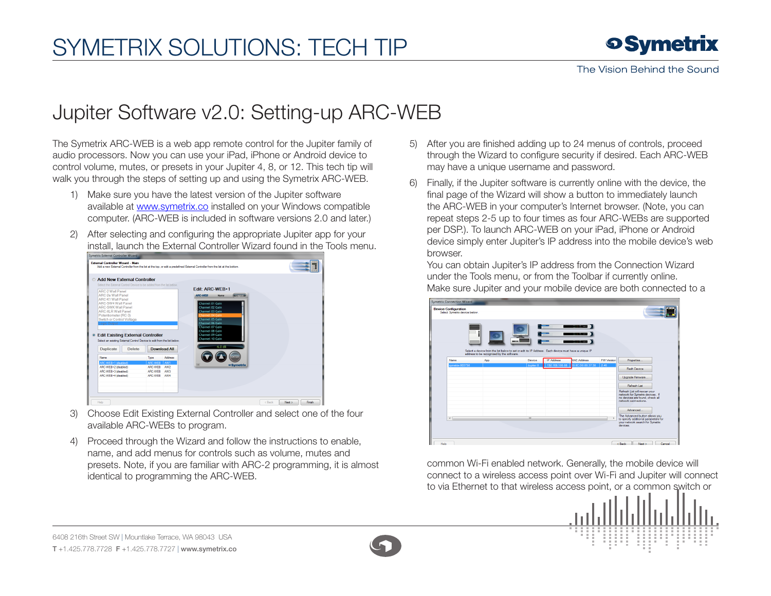## SymETRIX Solutions: Tech Tip

## Jupiter Software v2.0: Setting-up ARC-WEB

The Symetrix ARC-WEB is a web app remote control for the Jupiter family of audio processors. Now you can use your iPad, iPhone or Android device to control volume, mutes, or presets in your Jupiter 4, 8, or 12. This tech tip will walk you through the steps of setting up and using the Symetrix ARC-WEB.

- 1) Make sure you have the latest version of the Jupiter software available at www.symetrix.co installed on your Windows compatible computer. (ARC-WEB is included in software versions 2.0 and later.)
- 2) After selecting and configuring the appropriate Jupiter app for your install, launch the External Controller Wizard found in the Tools menu.

|                                                        |                                                                         | <b>Add New External Controller</b> |                 |                                          |  |
|--------------------------------------------------------|-------------------------------------------------------------------------|------------------------------------|-----------------|------------------------------------------|--|
|                                                        | Select the External Control Device to be added from the list below.     |                                    |                 | <b>Edit: ARC-WEB-1</b>                   |  |
| ARC-2 Wall Panel<br>ARC-2e Wall Panel                  |                                                                         |                                    |                 | (Logout<br><b>ARC-WEB</b><br><b>Name</b> |  |
| <b>ARC-K1 Wall Panel</b>                               |                                                                         |                                    |                 |                                          |  |
| <b>ARC-SW4 Wall Panel</b>                              |                                                                         |                                    |                 | Channel 01 Gain                          |  |
| <b>ARC-SWK Wall Panel</b><br><b>ARC-XLR Wall Panel</b> |                                                                         |                                    |                 | Channel 02 Gain<br>Channel 03 Gain       |  |
| Potentiometer (RC-3)                                   |                                                                         |                                    |                 | Channel 04 Gain                          |  |
| Switch or Control Voltage                              |                                                                         |                                    |                 | Channel 05 Gain                          |  |
|                                                        |                                                                         |                                    |                 |                                          |  |
| Logic Output                                           |                                                                         |                                    |                 | Channel 06 Gain                          |  |
|                                                        |                                                                         |                                    |                 | <b>Channel 07 Gain</b>                   |  |
|                                                        |                                                                         |                                    |                 | Channel 08 Gain                          |  |
|                                                        | <b>Edit Existing External Controller</b>                                |                                    |                 | Channel 09 Gain<br>Channel 10 Gain       |  |
|                                                        | Select an existing External Control Device to edit from the list below. |                                    |                 | $-6.0$ dB                                |  |
| <b>Duplicate</b>                                       | Delete                                                                  |                                    | Download All    |                                          |  |
| <b>Name</b>                                            |                                                                         | Type                               | Address         | ENTER                                    |  |
| ARC-WEB+1 (disabled)                                   |                                                                         | ARC-WEB                            | AW1             |                                          |  |
| ARC-WEB - 2 (disabled)                                 |                                                                         | ARC-WEB                            | AW <sub>2</sub> | <b>o</b> Symetrix                        |  |
| ARC-WEB+3 (disabled)                                   |                                                                         | ARC-WEB                            | AW3             |                                          |  |
| ARC-WEB+4 (disabled)                                   |                                                                         | ARC-WEB AW4                        |                 |                                          |  |
|                                                        |                                                                         |                                    |                 |                                          |  |

- 3) Choose Edit Existing External Controller and select one of the four available ARC-WEBs to program.
- 4) Proceed through the Wizard and follow the instructions to enable, name, and add menus for controls such as volume, mutes and presets. Note, if you are familiar with ARC-2 programming, it is almost identical to programming the ARC-WEB.
- 5) After you are finished adding up to 24 menus of controls, proceed through the Wizard to configure security if desired. Each ARC-WEB may have a unique username and password.
- 6) Finally, if the Jupiter software is currently online with the device, the final page of the Wizard will show a button to immediately launch the ARC-WEB in your computer's Internet browser. (Note, you can repeat steps 2-5 up to four times as four ARC-WEBs are supported per DSP.). To launch ARC-WEB on your iPad, iPhone or Android device simply enter Jupiter's IP address into the mobile device's web browser.

You can obtain Jupiter's IP address from the Connection Wizard under the Tools menu, or from the Toolbar if currently online. Make sure Jupiter and your mobile device are both connected to a



common Wi-Fi enabled network. Generally, the mobile device will connect to a wireless access point over Wi-Fi and Jupiter will connect to via Ethernet to that wireless access point, or a common switch or